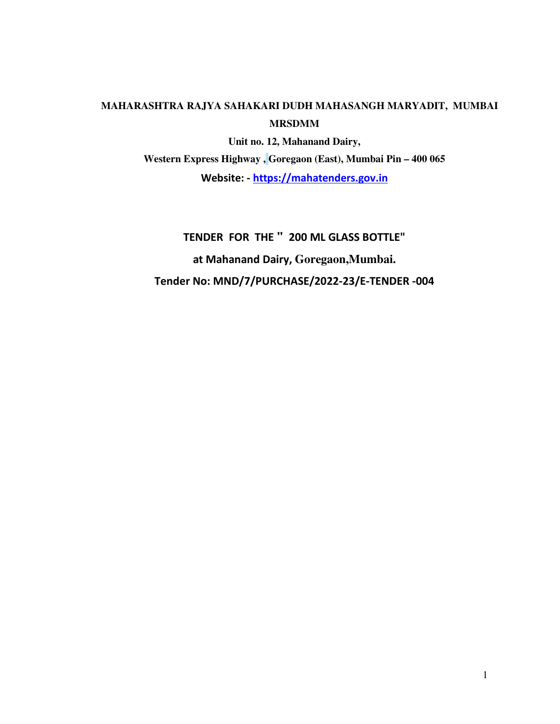## **MAHARASHTRA RAJYA SAHAKARI DUDH MAHASANGH MARYADIT, MUMBAI MRSDMM**

**Unit no. 12, Mahanand Dairy, Western Express Highway , Goregaon (East), Mumbai Pin – 400 065 Website: - https://mahatenders.gov.in**

**TENDER FOR THE " 200 ML GLASS BOTTLE" at Mahanand Dairy, Goregaon,Mumbai. Tender No: MND/7/PURCHASE/2022-23/E-TENDER -004**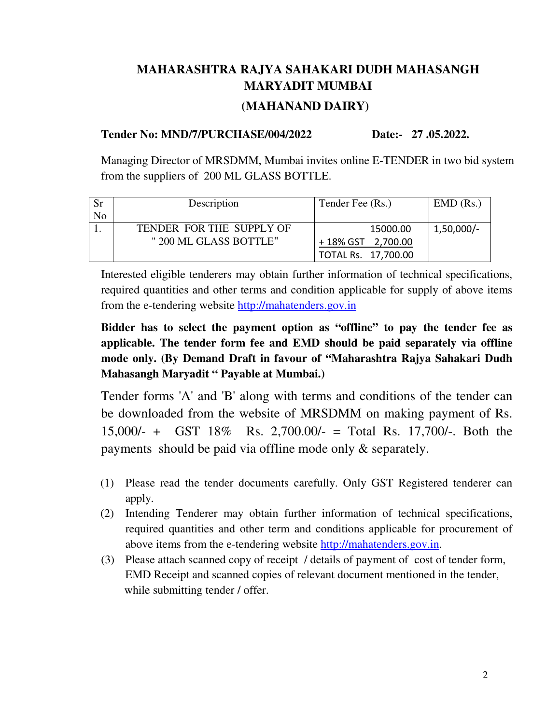# **MAHARASHTRA RAJYA SAHAKARI DUDH MAHASANGH MARYADIT MUMBAI (MAHANAND DAIRY)**

## **Tender No: MND/7/PURCHASE/004/2022 Date:- 27 .05.2022.**

Managing Director of MRSDMM, Mumbai invites online E-TENDER in two bid system from the suppliers of 200 ML GLASS BOTTLE.

| Sr | Description              | Tender Fee (Rs.)    | $EMD$ (Rs.)  |
|----|--------------------------|---------------------|--------------|
| No |                          |                     |              |
|    | TENDER FOR THE SUPPLY OF | 15000.00            | $1,50,000/-$ |
|    | " 200 ML GLASS BOTTLE"   | +18% GST 2,700.00   |              |
|    |                          | TOTAL Rs. 17,700.00 |              |

Interested eligible tenderers may obtain further information of technical specifications, required quantities and other terms and condition applicable for supply of above items from the e-tendering website http://mahatenders.gov.in

**Bidder has to select the payment option as "offline" to pay the tender fee as applicable. The tender form fee and EMD should be paid separately via offline mode only. (By Demand Draft in favour of "Maharashtra Rajya Sahakari Dudh Mahasangh Maryadit " Payable at Mumbai.)** 

Tender forms 'A' and 'B' along with terms and conditions of the tender can be downloaded from the website of MRSDMM on making payment of Rs. 15,000/- + GST 18% Rs. 2,700.00/- = Total Rs. 17,700/-. Both the payments should be paid via offline mode only & separately.

- (1) Please read the tender documents carefully. Only GST Registered tenderer can apply.
- (2) Intending Tenderer may obtain further information of technical specifications, required quantities and other term and conditions applicable for procurement of above items from the e-tendering website http://mahatenders.gov.in.
- (3) Please attach scanned copy of receipt / details of payment of cost of tender form, EMD Receipt and scanned copies of relevant document mentioned in the tender, while submitting tender / offer.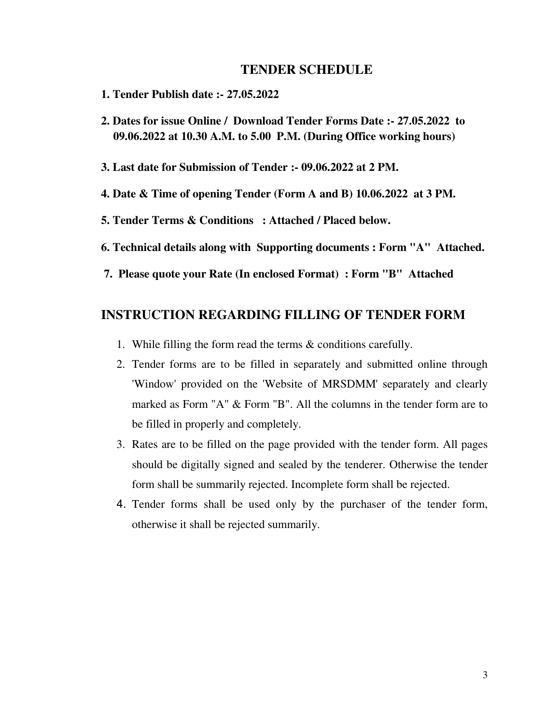#### **TENDER SCHEDULE**

- **1. Tender Publish date :- 27.05.2022**
- **2. Dates for issue Online / Download Tender Forms Date :- 27.05.2022 to 09.06.2022 at 10.30 A.M. to 5.00 P.M. (During Office working hours)**
- **3. Last date for Submission of Tender :- 09.06.2022 at 2 PM.**
- **4. Date & Time of opening Tender (Form A and B) 10.06.2022 at 3 PM.**
- **5. Tender Terms & Conditions : Attached / Placed below.**
- **6. Technical details along with Supporting documents : Form "A" Attached.**
- **7. Please quote your Rate (In enclosed Format) : Form "B" Attached**

## **INSTRUCTION REGARDING FILLING OF TENDER FORM**

- 1. While filling the form read the terms & conditions carefully.
- 2. Tender forms are to be filled in separately and submitted online through 'Window' provided on the 'Website of MRSDMM' separately and clearly marked as Form "A" & Form "B". All the columns in the tender form are to be filled in properly and completely.
- 3. Rates are to be filled on the page provided with the tender form. All pages should be digitally signed and sealed by the tenderer. Otherwise the tender form shall be summarily rejected. Incomplete form shall be rejected.
- 4. Tender forms shall be used only by the purchaser of the tender form, otherwise it shall be rejected summarily.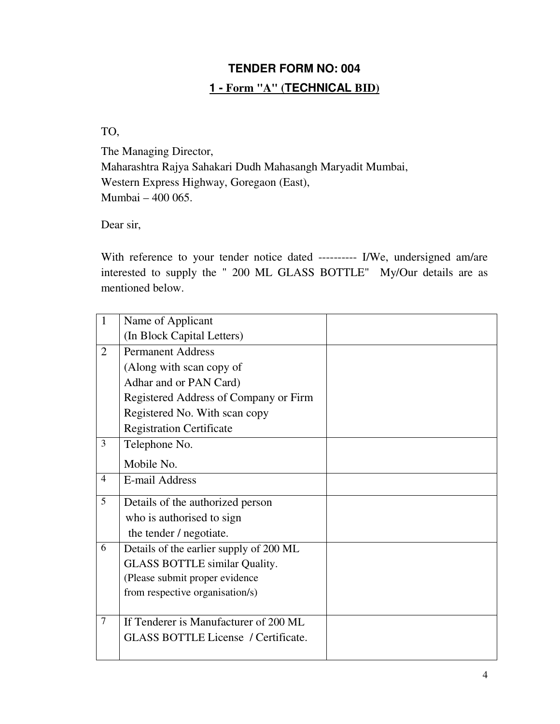# **TENDER FORM NO: 004 1 - Form "A" (TECHNICAL BID)**

TO,

The Managing Director, Maharashtra Rajya Sahakari Dudh Mahasangh Maryadit Mumbai, Western Express Highway, Goregaon (East), Mumbai – 400 065.

Dear sir,

With reference to your tender notice dated ---------- I/We, undersigned am/are interested to supply the " 200 ML GLASS BOTTLE" My/Our details are as mentioned below.

| 1              | Name of Applicant                          |  |
|----------------|--------------------------------------------|--|
|                | (In Block Capital Letters)                 |  |
| 2              | <b>Permanent Address</b>                   |  |
|                | (Along with scan copy of                   |  |
|                | Adhar and or PAN Card)                     |  |
|                | Registered Address of Company or Firm      |  |
|                | Registered No. With scan copy              |  |
|                | <b>Registration Certificate</b>            |  |
| 3              | Telephone No.                              |  |
|                | Mobile No.                                 |  |
| $\overline{4}$ | <b>E-mail Address</b>                      |  |
| 5              | Details of the authorized person           |  |
|                | who is authorised to sign                  |  |
|                | the tender / negotiate.                    |  |
| 6              | Details of the earlier supply of 200 ML    |  |
|                | <b>GLASS BOTTLE similar Quality.</b>       |  |
|                | (Please submit proper evidence             |  |
|                | from respective organisation/s)            |  |
|                |                                            |  |
| $\tau$         | If Tenderer is Manufacturer of 200 ML      |  |
|                | <b>GLASS BOTTLE License</b> / Certificate. |  |
|                |                                            |  |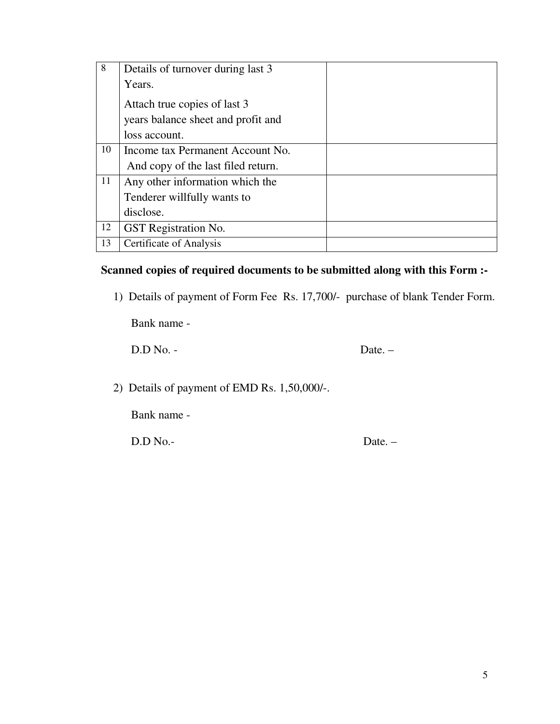| 8  | Details of turnover during last 3  |  |
|----|------------------------------------|--|
|    | Years.                             |  |
|    | Attach true copies of last 3       |  |
|    | years balance sheet and profit and |  |
|    | loss account.                      |  |
| 10 | Income tax Permanent Account No.   |  |
|    | And copy of the last filed return. |  |
| 11 | Any other information which the    |  |
|    | Tenderer willfully wants to        |  |
|    | disclose.                          |  |
| 12 | GST Registration No.               |  |
| 13 | Certificate of Analysis            |  |

## **Scanned copies of required documents to be submitted along with this Form :-**

1) Details of payment of Form Fee Rs. 17,700/- purchase of blank Tender Form.

Bank name -

D.D No. - Date. –

2) Details of payment of EMD Rs. 1,50,000/-.

Bank name -

D.D No.- Date. –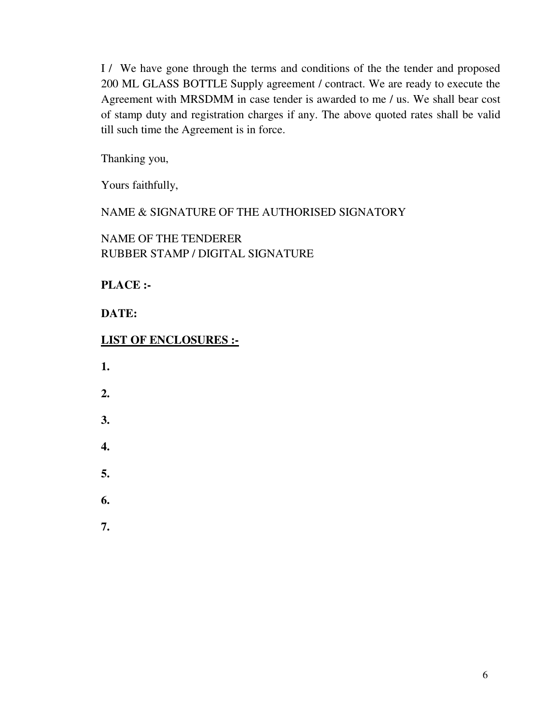I / We have gone through the terms and conditions of the the tender and proposed 200 ML GLASS BOTTLE Supply agreement / contract. We are ready to execute the Agreement with MRSDMM in case tender is awarded to me / us. We shall bear cost of stamp duty and registration charges if any. The above quoted rates shall be valid till such time the Agreement is in force.

Thanking you,

Yours faithfully,

NAME & SIGNATURE OF THE AUTHORISED SIGNATORY

NAME OF THE TENDERER RUBBER STAMP / DIGITAL SIGNATURE

**PLACE :-** 

**DATE:** 

## **LIST OF ENCLOSURES :-**

- **1.**
- **2.**
- **3.**
- **4.**
- **5.**
- 
- **6.**
- **7.**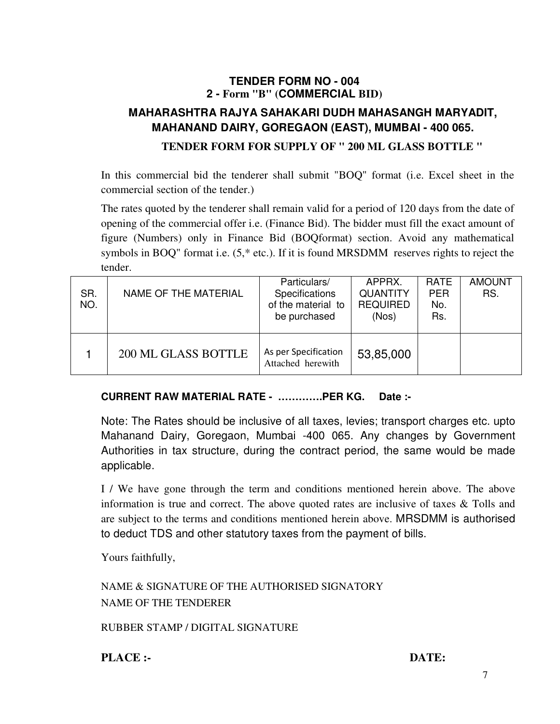## **TENDER FORM NO - 004 2 - Form "B" (COMMERCIAL BID)**

## **MAHARASHTRA RAJYA SAHAKARI DUDH MAHASANGH MARYADIT, MAHANAND DAIRY, GOREGAON (EAST), MUMBAI - 400 065. TENDER FORM FOR SUPPLY OF " 200 ML GLASS BOTTLE "**

In this commercial bid the tenderer shall submit "BOQ" format (i.e. Excel sheet in the commercial section of the tender.)

The rates quoted by the tenderer shall remain valid for a period of 120 days from the date of opening of the commercial offer i.e. (Finance Bid). The bidder must fill the exact amount of figure (Numbers) only in Finance Bid (BOQformat) section. Avoid any mathematical symbols in BOQ" format i.e. (5,\* etc.). If it is found MRSDMM reserves rights to reject the tender.

| SR.<br>NO. | NAME OF THE MATERIAL       | Particulars/<br><b>Specifications</b><br>of the material to<br>be purchased | APPRX.<br><b>QUANTITY</b><br><b>REQUIRED</b><br>(Nos) | <b>RATE</b><br><b>PER</b><br>No.<br>Rs. | <b>AMOUNT</b><br>RS. |
|------------|----------------------------|-----------------------------------------------------------------------------|-------------------------------------------------------|-----------------------------------------|----------------------|
|            | <b>200 ML GLASS BOTTLE</b> | As per Specification<br>Attached herewith                                   | 53,85,000                                             |                                         |                      |

## **CURRENT RAW MATERIAL RATE - ………….PER KG. Date :-**

Note: The Rates should be inclusive of all taxes, levies; transport charges etc. upto Mahanand Dairy, Goregaon, Mumbai -400 065. Any changes by Government Authorities in tax structure, during the contract period, the same would be made applicable.

I / We have gone through the term and conditions mentioned herein above. The above information is true and correct. The above quoted rates are inclusive of taxes & Tolls and are subject to the terms and conditions mentioned herein above. MRSDMM is authorised to deduct TDS and other statutory taxes from the payment of bills.

Yours faithfully,

NAME & SIGNATURE OF THE AUTHORISED SIGNATORY NAME OF THE TENDERER

RUBBER STAMP / DIGITAL SIGNATURE

**PLACE :-** DATE: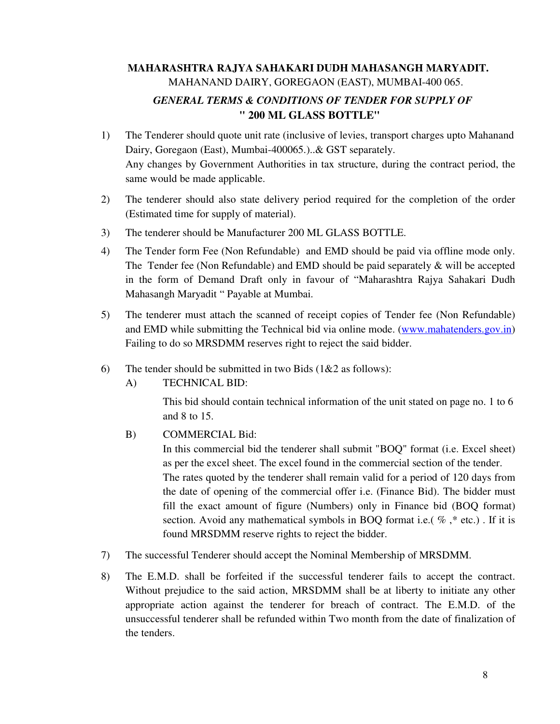## **MAHARASHTRA RAJYA SAHAKARI DUDH MAHASANGH MARYADIT.** MAHANAND DAIRY, GOREGAON (EAST), MUMBAI-400 065. *GENERAL TERMS & CONDITIONS OF TENDER FOR SUPPLY OF*  **" 200 ML GLASS BOTTLE"**

- 1) The Tenderer should quote unit rate (inclusive of levies, transport charges upto Mahanand Dairy, Goregaon (East), Mumbai-400065.)..& GST separately. Any changes by Government Authorities in tax structure, during the contract period, the same would be made applicable.
- 2) The tenderer should also state delivery period required for the completion of the order (Estimated time for supply of material).
- 3) The tenderer should be Manufacturer 200 ML GLASS BOTTLE.
- 4) The Tender form Fee (Non Refundable) and EMD should be paid via offline mode only. The Tender fee (Non Refundable) and EMD should be paid separately  $\&$  will be accepted in the form of Demand Draft only in favour of "Maharashtra Rajya Sahakari Dudh Mahasangh Maryadit " Payable at Mumbai.
- 5) The tenderer must attach the scanned of receipt copies of Tender fee (Non Refundable) and EMD while submitting the Technical bid via online mode. (www.mahatenders.gov.in) Failing to do so MRSDMM reserves right to reject the said bidder.
- 6) The tender should be submitted in two Bids  $(1&2$  as follows):
	- A) TECHNICAL BID:

This bid should contain technical information of the unit stated on page no. 1 to 6 and 8 to 15.

B) COMMERCIAL Bid:

In this commercial bid the tenderer shall submit "BOQ" format (i.e. Excel sheet) as per the excel sheet. The excel found in the commercial section of the tender. The rates quoted by the tenderer shall remain valid for a period of 120 days from the date of opening of the commercial offer i.e. (Finance Bid). The bidder must fill the exact amount of figure (Numbers) only in Finance bid (BOQ format) section. Avoid any mathematical symbols in BOQ format i.e.( $\%$ ,  $*$  etc.). If it is found MRSDMM reserve rights to reject the bidder.

- 7) The successful Tenderer should accept the Nominal Membership of MRSDMM.
- 8) The E.M.D. shall be forfeited if the successful tenderer fails to accept the contract. Without prejudice to the said action, MRSDMM shall be at liberty to initiate any other appropriate action against the tenderer for breach of contract. The E.M.D. of the unsuccessful tenderer shall be refunded within Two month from the date of finalization of the tenders.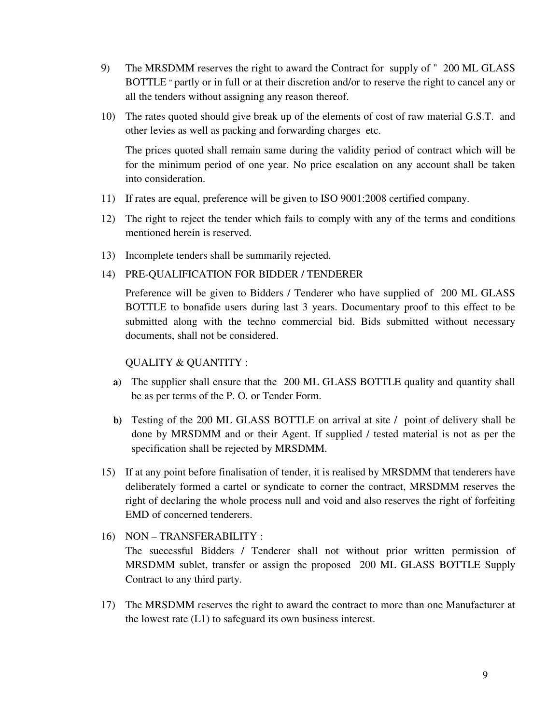- 9) The MRSDMM reserves the right to award the Contract for supply of " 200 ML GLASS BOTTLE " partly or in full or at their discretion and/or to reserve the right to cancel any or all the tenders without assigning any reason thereof.
- 10) The rates quoted should give break up of the elements of cost of raw material G.S.T. and other levies as well as packing and forwarding charges etc.

The prices quoted shall remain same during the validity period of contract which will be for the minimum period of one year. No price escalation on any account shall be taken into consideration.

- 11) If rates are equal, preference will be given to ISO 9001:2008 certified company.
- 12) The right to reject the tender which fails to comply with any of the terms and conditions mentioned herein is reserved.
- 13) Incomplete tenders shall be summarily rejected.
- 14) PRE-QUALIFICATION FOR BIDDER / TENDERER

Preference will be given to Bidders / Tenderer who have supplied of 200 ML GLASS BOTTLE to bonafide users during last 3 years. Documentary proof to this effect to be submitted along with the techno commercial bid. Bids submitted without necessary documents, shall not be considered.

#### QUALITY & QUANTITY :

- **a)** The supplier shall ensure that the 200 ML GLASS BOTTLE quality and quantity shall be as per terms of the P. O. or Tender Form.
- **b)** Testing of the 200 ML GLASS BOTTLE on arrival at site / point of delivery shall be done by MRSDMM and or their Agent. If supplied / tested material is not as per the specification shall be rejected by MRSDMM.
- 15) If at any point before finalisation of tender, it is realised by MRSDMM that tenderers have deliberately formed a cartel or syndicate to corner the contract, MRSDMM reserves the right of declaring the whole process null and void and also reserves the right of forfeiting EMD of concerned tenderers.
- 16) NON TRANSFERABILITY : The successful Bidders / Tenderer shall not without prior written permission of MRSDMM sublet, transfer or assign the proposed 200 ML GLASS BOTTLE Supply Contract to any third party.
- 17) The MRSDMM reserves the right to award the contract to more than one Manufacturer at the lowest rate (L1) to safeguard its own business interest.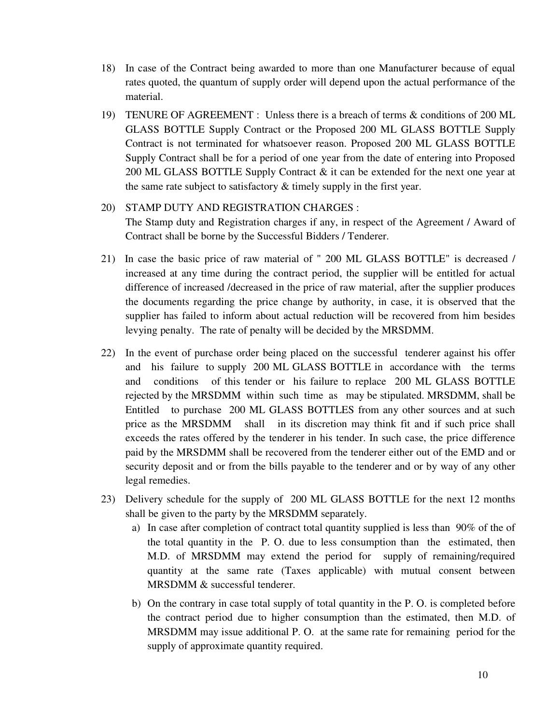- 18) In case of the Contract being awarded to more than one Manufacturer because of equal rates quoted, the quantum of supply order will depend upon the actual performance of the material.
- 19) TENURE OF AGREEMENT : Unless there is a breach of terms & conditions of 200 ML GLASS BOTTLE Supply Contract or the Proposed 200 ML GLASS BOTTLE Supply Contract is not terminated for whatsoever reason. Proposed 200 ML GLASS BOTTLE Supply Contract shall be for a period of one year from the date of entering into Proposed 200 ML GLASS BOTTLE Supply Contract & it can be extended for the next one year at the same rate subject to satisfactory & timely supply in the first year.

## 20) STAMP DUTY AND REGISTRATION CHARGES :

The Stamp duty and Registration charges if any, in respect of the Agreement / Award of Contract shall be borne by the Successful Bidders / Tenderer.

- 21) In case the basic price of raw material of " 200 ML GLASS BOTTLE" is decreased / increased at any time during the contract period, the supplier will be entitled for actual difference of increased /decreased in the price of raw material, after the supplier produces the documents regarding the price change by authority, in case, it is observed that the supplier has failed to inform about actual reduction will be recovered from him besides levying penalty. The rate of penalty will be decided by the MRSDMM.
- 22) In the event of purchase order being placed on the successful tenderer against his offer and his failure to supply 200 ML GLASS BOTTLE in accordance with the terms and conditions of this tender or his failure to replace 200 ML GLASS BOTTLE rejected by the MRSDMM within such time as may be stipulated. MRSDMM, shall be Entitled to purchase 200 ML GLASS BOTTLES from any other sources and at such price as the MRSDMM shall in its discretion may think fit and if such price shall exceeds the rates offered by the tenderer in his tender. In such case, the price difference paid by the MRSDMM shall be recovered from the tenderer either out of the EMD and or security deposit and or from the bills payable to the tenderer and or by way of any other legal remedies.
- 23) Delivery schedule for the supply of 200 ML GLASS BOTTLE for the next 12 months shall be given to the party by the MRSDMM separately.
	- a) In case after completion of contract total quantity supplied is less than 90% of the of the total quantity in the P. O. due to less consumption than the estimated, then M.D. of MRSDMM may extend the period for supply of remaining/required quantity at the same rate (Taxes applicable) with mutual consent between MRSDMM & successful tenderer.
	- b) On the contrary in case total supply of total quantity in the P. O. is completed before the contract period due to higher consumption than the estimated, then M.D. of MRSDMM may issue additional P. O. at the same rate for remaining period for the supply of approximate quantity required.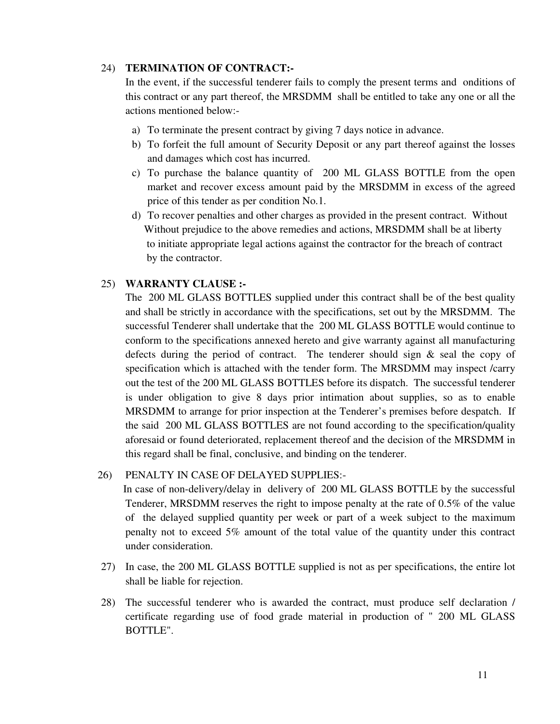#### 24) **TERMINATION OF CONTRACT:-**

In the event, if the successful tenderer fails to comply the present terms and onditions of this contract or any part thereof, the MRSDMM shall be entitled to take any one or all the actions mentioned below:-

- a) To terminate the present contract by giving 7 days notice in advance.
- b) To forfeit the full amount of Security Deposit or any part thereof against the losses and damages which cost has incurred.
- c) To purchase the balance quantity of 200 ML GLASS BOTTLE from the open market and recover excess amount paid by the MRSDMM in excess of the agreed price of this tender as per condition No.1.
- d) To recover penalties and other charges as provided in the present contract. Without Without prejudice to the above remedies and actions, MRSDMM shall be at liberty to initiate appropriate legal actions against the contractor for the breach of contract by the contractor.

#### 25) **WARRANTY CLAUSE :-**

The 200 ML GLASS BOTTLES supplied under this contract shall be of the best quality and shall be strictly in accordance with the specifications, set out by the MRSDMM. The successful Tenderer shall undertake that the 200 ML GLASS BOTTLE would continue to conform to the specifications annexed hereto and give warranty against all manufacturing defects during the period of contract. The tenderer should sign  $\&$  seal the copy of specification which is attached with the tender form. The MRSDMM may inspect /carry out the test of the 200 ML GLASS BOTTLES before its dispatch. The successful tenderer is under obligation to give 8 days prior intimation about supplies, so as to enable MRSDMM to arrange for prior inspection at the Tenderer's premises before despatch. If the said 200 ML GLASS BOTTLES are not found according to the specification/quality aforesaid or found deteriorated, replacement thereof and the decision of the MRSDMM in this regard shall be final, conclusive, and binding on the tenderer.

#### 26) PENALTY IN CASE OF DELAYED SUPPLIES:-

 In case of non-delivery/delay in delivery of 200 ML GLASS BOTTLE by the successful Tenderer, MRSDMM reserves the right to impose penalty at the rate of 0.5% of the value of the delayed supplied quantity per week or part of a week subject to the maximum penalty not to exceed 5% amount of the total value of the quantity under this contract under consideration.

- 27) In case, the 200 ML GLASS BOTTLE supplied is not as per specifications, the entire lot shall be liable for rejection.
- 28) The successful tenderer who is awarded the contract, must produce self declaration / certificate regarding use of food grade material in production of " 200 ML GLASS BOTTLE".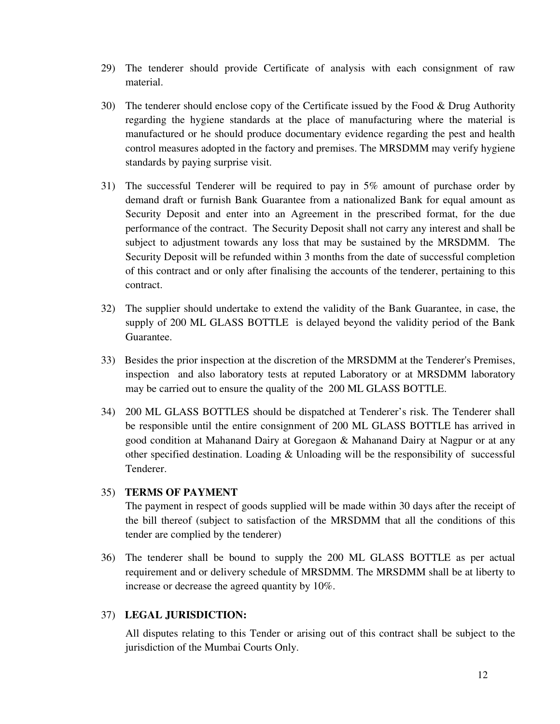- 29) The tenderer should provide Certificate of analysis with each consignment of raw material.
- 30) The tenderer should enclose copy of the Certificate issued by the Food & Drug Authority regarding the hygiene standards at the place of manufacturing where the material is manufactured or he should produce documentary evidence regarding the pest and health control measures adopted in the factory and premises. The MRSDMM may verify hygiene standards by paying surprise visit.
- 31) The successful Tenderer will be required to pay in 5% amount of purchase order by demand draft or furnish Bank Guarantee from a nationalized Bank for equal amount as Security Deposit and enter into an Agreement in the prescribed format, for the due performance of the contract. The Security Deposit shall not carry any interest and shall be subject to adjustment towards any loss that may be sustained by the MRSDMM. The Security Deposit will be refunded within 3 months from the date of successful completion of this contract and or only after finalising the accounts of the tenderer, pertaining to this contract.
- 32) The supplier should undertake to extend the validity of the Bank Guarantee, in case, the supply of 200 ML GLASS BOTTLE is delayed beyond the validity period of the Bank Guarantee.
- 33) Besides the prior inspection at the discretion of the MRSDMM at the Tenderer's Premises, inspection and also laboratory tests at reputed Laboratory or at MRSDMM laboratory may be carried out to ensure the quality of the 200 ML GLASS BOTTLE.
- 34) 200 ML GLASS BOTTLES should be dispatched at Tenderer's risk. The Tenderer shall be responsible until the entire consignment of 200 ML GLASS BOTTLE has arrived in good condition at Mahanand Dairy at Goregaon & Mahanand Dairy at Nagpur or at any other specified destination. Loading & Unloading will be the responsibility of successful Tenderer.

#### 35) **TERMS OF PAYMENT**

The payment in respect of goods supplied will be made within 30 days after the receipt of the bill thereof (subject to satisfaction of the MRSDMM that all the conditions of this tender are complied by the tenderer)

36) The tenderer shall be bound to supply the 200 ML GLASS BOTTLE as per actual requirement and or delivery schedule of MRSDMM. The MRSDMM shall be at liberty to increase or decrease the agreed quantity by 10%.

### 37) **LEGAL JURISDICTION:**

All disputes relating to this Tender or arising out of this contract shall be subject to the jurisdiction of the Mumbai Courts Only.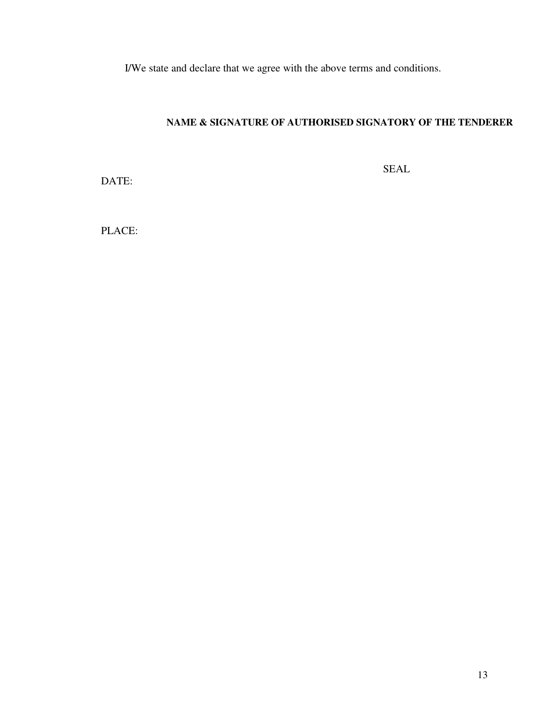I/We state and declare that we agree with the above terms and conditions.

### **NAME & SIGNATURE OF AUTHORISED SIGNATORY OF THE TENDERER**

DATE:

SEAL

PLACE: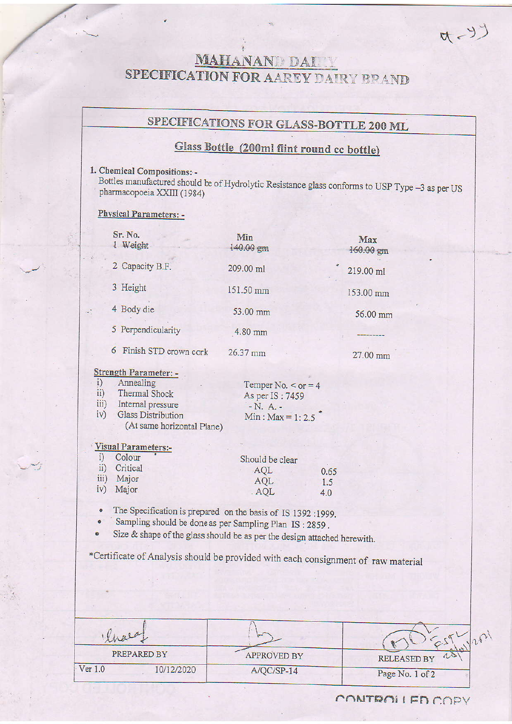# MAHANAND DAI SPECIFICATION FOR AAREY DAIRY BRAND

# SPECIFICATIONS FOR GLASS-BOTTLE 200 ML

# Glass Bottle (200ml flint round cc bottle)

### 1. Chemical Compositions: -

Bottles manufactured should be of Hydrolytic Resistance glass conforms to USP Type –3 as per US<br>pharmacopoeia XXIII (1984)

#### Phvsical Parameters: -

|                                          | Sr. No.<br>1 Weight                                                                                                                      | Min<br>140.00 gm                                                               |                    | Max<br>160.00 gm |
|------------------------------------------|------------------------------------------------------------------------------------------------------------------------------------------|--------------------------------------------------------------------------------|--------------------|------------------|
|                                          | 2 Capacity B.F.                                                                                                                          | 209.00 ml                                                                      |                    | 219.00 ml        |
|                                          | 3 Height                                                                                                                                 | 151.50 mm                                                                      |                    | 153.00 mm        |
|                                          | 4 Body die                                                                                                                               | 53.00 mm                                                                       |                    | 56.00 mm         |
|                                          | 5 Perpendicularity                                                                                                                       | 4.80 mm                                                                        |                    |                  |
|                                          | Finish STD crown cork<br>6                                                                                                               | 26.37 mm                                                                       |                    | 27.00 mm         |
| i)<br>$\overline{11}$ )<br>iv)           | Strength Parameter: -<br>Annealing<br>Thermal Shock<br>iii) Internal pressure<br><b>Glass Distribution</b><br>(At same horizontal Plane) | Temper No. $<$ or = 4<br>As per IS: 7459<br>$-N. A. -$<br>Min : $Max = 1: 2.5$ |                    |                  |
| i)<br>$\ddot{\mathbf{i}}$<br>iii)<br>iv) | <b>Visual Parameters:-</b><br>Colour<br>Critical<br>Major<br>Major                                                                       | Should be clear<br>AQL<br>AQL<br>AQL                                           | 0.65<br>1.5<br>4.0 |                  |

. The Specification is prepared onthebasis of IS 1392:1999.

Sampling should be done as per Sampling Plan IS: 2859.

Size  $\&$  shape of the glass should be as per the design attached herewith.

\*Certiticate of Analysis should be provided wirh each consignment of raw material

| Water.  |             |                    |                    |
|---------|-------------|--------------------|--------------------|
|         | PREPARED BY | <b>APPROVED BY</b> | <b>RELEASED BY</b> |
| Ver 1.0 | 10/12/2020  | $A/QC/SP-14$       | Page No. 1 of 2    |

 $(5, 0)$